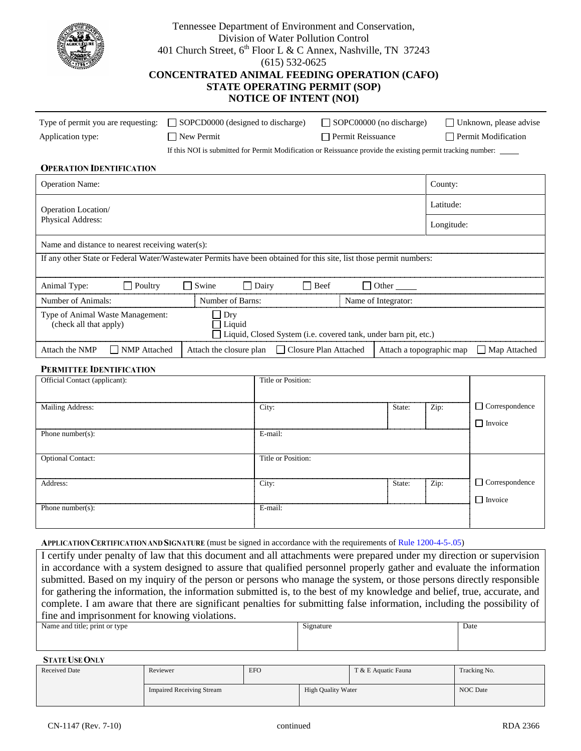| Tennessee Department of Environment and Conservation,<br>Division of Water Pollution Control<br>401 Church Street, 6 <sup>th</sup> Floor L & C Annex, Nashville, TN 37243<br>$(615) 532 - 0625$<br><b>CONCENTRATED ANIMAL FEEDING OPERATION (CAFO)</b><br><b>STATE OPERATING PERMIT (SOP)</b><br><b>NOTICE OF INTENT (NOI)</b> |  |                                                                                                             |         |                     |             |                   |                          |            |                        |
|--------------------------------------------------------------------------------------------------------------------------------------------------------------------------------------------------------------------------------------------------------------------------------------------------------------------------------|--|-------------------------------------------------------------------------------------------------------------|---------|---------------------|-------------|-------------------|--------------------------|------------|------------------------|
| Type of permit you are requesting:                                                                                                                                                                                                                                                                                             |  | SOPCD0000 (designed to discharge)                                                                           |         |                     |             |                   | SOPC00000 (no discharge) |            | Unknown, please advise |
| Application type:                                                                                                                                                                                                                                                                                                              |  | New Permit                                                                                                  |         |                     |             | Permit Reissuance |                          |            | Permit Modification    |
|                                                                                                                                                                                                                                                                                                                                |  | If this NOI is submitted for Permit Modification or Reissuance provide the existing permit tracking number: |         |                     |             |                   |                          |            |                        |
| <b>OPERATION IDENTIFICATION</b>                                                                                                                                                                                                                                                                                                |  |                                                                                                             |         |                     |             |                   |                          |            |                        |
| <b>Operation Name:</b>                                                                                                                                                                                                                                                                                                         |  |                                                                                                             |         |                     |             |                   |                          | County:    |                        |
| Operation Location/                                                                                                                                                                                                                                                                                                            |  |                                                                                                             |         |                     |             |                   |                          | Latitude:  |                        |
| Physical Address:                                                                                                                                                                                                                                                                                                              |  |                                                                                                             |         |                     |             |                   |                          | Longitude: |                        |
| Name and distance to nearest receiving water(s):                                                                                                                                                                                                                                                                               |  |                                                                                                             |         |                     |             |                   |                          |            |                        |
| If any other State or Federal Water/Wastewater Permits have been obtained for this site, list those permit numbers:                                                                                                                                                                                                            |  |                                                                                                             |         |                     |             |                   |                          |            |                        |
| $\Box$ Poultry<br>Animal Type:                                                                                                                                                                                                                                                                                                 |  | <b>Swine</b>                                                                                                | Dairy   |                     | <b>Beef</b> |                   | Other                    |            |                        |
| Number of Animals:<br>Number of Barns:                                                                                                                                                                                                                                                                                         |  |                                                                                                             |         | Name of Integrator: |             |                   |                          |            |                        |
| Type of Animal Waste Management:<br>$\exists$ Dry<br>Liquid<br>(check all that apply)<br>Liquid, Closed System (i.e. covered tank, under barn pit, etc.)                                                                                                                                                                       |  |                                                                                                             |         |                     |             |                   |                          |            |                        |
| NMP Attached<br>Attach the NMP                                                                                                                                                                                                                                                                                                 |  | Attach the closure plan<br>Closure Plan Attached<br>Attach a topographic map                                |         |                     |             | Map Attached      |                          |            |                        |
| <b>PERMITTEE IDENTIFICATION</b>                                                                                                                                                                                                                                                                                                |  |                                                                                                             |         |                     |             |                   |                          |            |                        |
| Official Contact (applicant):                                                                                                                                                                                                                                                                                                  |  |                                                                                                             |         | Title or Position:  |             |                   |                          |            |                        |
| <b>Mailing Address:</b>                                                                                                                                                                                                                                                                                                        |  |                                                                                                             | City:   |                     |             |                   | State:                   | Zip:       | $\Box$ Correspondence  |
| Phone number(s):                                                                                                                                                                                                                                                                                                               |  |                                                                                                             | E-mail: |                     |             |                   |                          |            | $\Box$ Invoice         |
| <b>Optional Contact:</b>                                                                                                                                                                                                                                                                                                       |  |                                                                                                             |         | Title or Position:  |             |                   |                          |            |                        |
|                                                                                                                                                                                                                                                                                                                                |  |                                                                                                             |         |                     |             |                   |                          |            |                        |
| Address:                                                                                                                                                                                                                                                                                                                       |  |                                                                                                             | City:   |                     |             |                   | State:                   | Zip:       | $\Box$ Correspondence  |
| Phone number( $s$ ):                                                                                                                                                                                                                                                                                                           |  |                                                                                                             | E-mail: |                     |             |                   |                          |            | $\Box$ Invoice         |
|                                                                                                                                                                                                                                                                                                                                |  |                                                                                                             |         |                     |             |                   |                          |            |                        |
| APPLICATION CERTIFICATION AND SIGNATURE (must be signed in accordance with the requirements of Rule 1200-4-5-05)                                                                                                                                                                                                               |  |                                                                                                             |         |                     |             |                   |                          |            |                        |
| Lettify under penalty of law that this document and all attachments were prepared under my direction or supervision                                                                                                                                                                                                            |  |                                                                                                             |         |                     |             |                   |                          |            |                        |

at this document and all attachments were prepar in accordance with a system designed to assure that qualified personnel properly gather and evaluate the information submitted. Based on my inquiry of the person or persons who manage the system, or those persons directly responsible for gathering the information, the information submitted is, to the best of my knowledge and belief, true, accurate, and complete. I am aware that there are significant penalties for submitting false information, including the possibility of fine and imprisonment for knowing violations.

| Name and title; print or type | $\sim$<br>Signature | Date |
|-------------------------------|---------------------|------|
|                               |                     |      |

**STATE USE ONLY** 

| <b>Received Date</b> | <b>EFO</b><br>Reviewer           |  |                           | T & E Aquatic Fauna | Tracking No.    |
|----------------------|----------------------------------|--|---------------------------|---------------------|-----------------|
|                      | <b>Impaired Receiving Stream</b> |  | <b>High Quality Water</b> |                     | <b>NOC</b> Date |